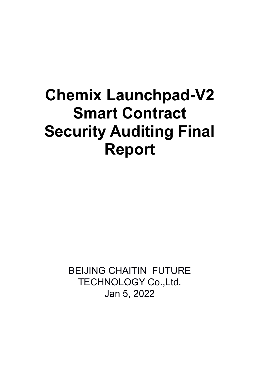# **Chemix Launchpad-V2 Smart Contract Security Auditing Final Report**

BEIJING CHAITIN FUTURE TECHNOLOGY Co.,Ltd. Jan 5, 2022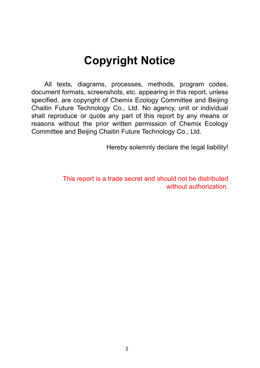# **Copyright Notice**

All texts, diagrams, processes, methods, program codes, document formats, screenshots, etc. appearing in this report, unless specified, are copyright of Chemix Ecology Committee and Beijing Chaitin Future Technology Co., Ltd. No agency, unit or individual shall reproduce or quote any part of this report by any means or reasons without the prior written permission of Chemix Ecology Committee and Beijing Chaitin Future Technology Co., Ltd.

Hereby solemnly declare the legal liability!

This report is a trade secret and should not be distributed without authorization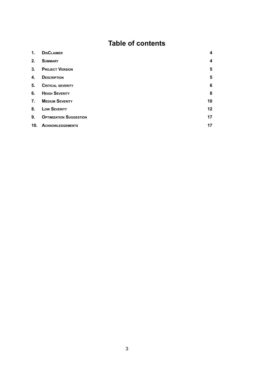## **Table of contents**

| 1.             | <b>DISCLAIMER</b>              | 4                       |
|----------------|--------------------------------|-------------------------|
| 2.             | <b>SUMMARY</b>                 | $\overline{\mathbf{4}}$ |
| 3 <sub>1</sub> | <b>PROJECT VERSION</b>         | 5                       |
| 4.             | <b>DESCRIPTION</b>             | $\overline{\mathbf{5}}$ |
| 5.             | <b>CRITICAL SEVERITY</b>       | $6\phantom{1}6$         |
| 6.             | <b>HEIGH SEVERITY</b>          | 8                       |
| 7.             | <b>MEDIUM SEVERITY</b>         | 10                      |
| 8.             | <b>Low SEVERITY</b>            | 12                      |
| 9.             | <b>OPTIMIZATION SUGGESTION</b> | 17                      |
| 10.            | <b>ACKNOWLEDGEMENTS</b>        | 17                      |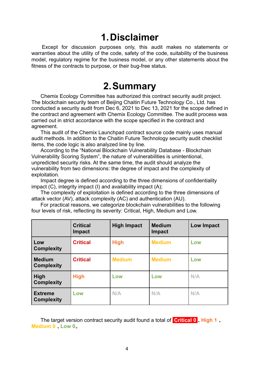# **1.Disclaimer**

<span id="page-3-0"></span>Except for discussion purposes only, this audit makes no statements or warranties about the utility of the code, safety of the code, suitability of the business model, regulatory regime for the business model, or any other statements about the fitness of the contracts to purpose, or their bug-free status.

# **2.Summary**

Chemix Ecology Committee has authorized this contract security audit project. The blockchain security team of Beijing Chaitin Future Technology Co., Ltd. has conducted a security audit from Dec 6, 2021 to Dec 13, 2021 for the scope defined in the contract and agreement with Chemix Ecology Committee. The audit process was carried out in strict accordance with the scope specified in the contract and agreement.

This audit of the Chemix Launchpad contract source code mainly uses manual audit methods. In addition to the Chaitin Future Technology security audit checklist items, the code logic is also analyzed line by line.

According to the "National Blockchain Vulnerability Database - Blockchain Vulnerability Scoring System", the nature of vulnerabilities is unintentional, unpredicted security risks. At the same time, the audit should analyze the vulnerability from two dimensions: the degree of impact and the complexity of exploitation.

Impact degree is defined according to the three dimensions of confidentiality impact (C), integrity impact (I) and availability impact (A);

The complexity of exploitation is defined according to the three dimensions of attack vector (AV), attack complexity (AC) and authentication (AU).

For practical reasons, we categorize blockchain vulnerabilities to the following four levels of risk, reflecting its severity: Critical, High, Medium and Low.

|                                     | <b>Critical</b><br><b>Impact</b> | <b>High Impact</b> | <b>Medium</b><br><b>Impact</b> | <b>Low Impact</b> |
|-------------------------------------|----------------------------------|--------------------|--------------------------------|-------------------|
| Low<br><b>Complexity</b>            | <b>Critical</b>                  | <b>High</b>        | <b>Medium</b>                  | Low               |
| <b>Medium</b><br><b>Complexity</b>  | <b>Critical</b>                  | <b>Medium</b>      | <b>Medium</b>                  | Low               |
| <b>High</b><br><b>Complexity</b>    | <b>High</b>                      | Low                | Low                            | N/A               |
| <b>Extreme</b><br><b>Complexity</b> | Low                              | N/A                | N/A                            | N/A               |

The target version contract security audit found a total of **Critical 0** 、**High 1** 、 **Medium 0** 、**Low 0**。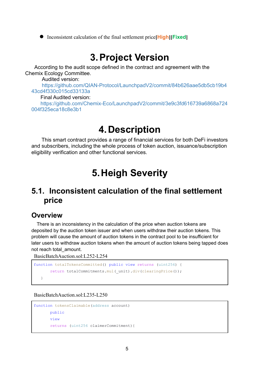**●** Inconsistent calculation of the final settlement price**[High][Fixed]**

# **3.Project Version**

According to the audit scope defined in the contract and agreement with the Chemix Ecology Committee.

Audited version:

https://github.com/QIAN-Protocol/LaunchpadV2/commit/84b626aae5db5cb19b4 43cd4f330c015cd33133a

Final Audited version:

https://github.com/Chemix-Eco/LaunchpadV2/commit/3e9c3fd616739a6868a724 004f325eca18c8e3b1

# **4.Description**

This smart contract provides a range of financial services for both DeFi investors and subscribers, including the whole process of token auction, issuance/subscription eligibility verification and other functional services.

# **5.Heigh Severity**

# **5.1. Inconsistent calculation of the final settlement price**

#### **Overview**

There is an inconsistency in the calculation of the price when auction tokens are deposited by the auction token issuer and when users withdraw their auction tokens. This problem will cause the amount of auction tokens in the contract pool to be insufficient for later users to withdraw auction tokens when the amount of auction tokens being tapped does not reach total\_amount.

BasicBatchAuction.sol:L252-L254

```
function totalTokensCommitted() public view returns (uint256) {
       return totalCommitments.mul( unit).div(clearingPrice());
  }
```
BasicBatchAuction.sol:L235-L250

```
function tokensClaimable(address account)
       public
       view
       returns (uint256 claimerCommitment){
```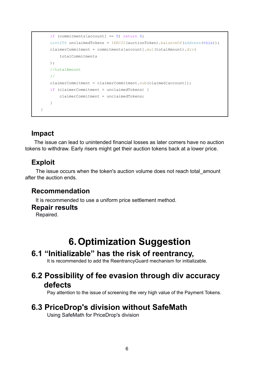```
if (commitments[account] == 0) return 0;
    uint256 unclaimedTokens = IERC20 (auctionToken).balanceOf(address(this));
    claimerCommitment = commitments[account].mul(totalAmount).div(
        totalCommitments
    );
    //totalAmount
    //
    claimerCommitment = claimerCommitment.sub(claimed[account]);
    if (claimerCommitment > unclaimedTokens) {
        claimerCommitment = unclaimedTokens;
    }
}
```
#### **Impact**

The issue can lead to unintended financial losses as later comers have no auction tokens to withdraw. Early risers might get their auction tokens back at a lower price.

#### **Exploit**

The issue occurs when the token's auction volume does not reach total\_amount after the auction ends.

#### **Recommendation**

It is recommended to use a uniform price settlement method.

#### **Repair results**

Repaired.

# **6.Optimization Suggestion**

### **6.1 "Initializable" has the risk of reentrancy,**

It is recommended to add the ReentrancyGuard mechanism for initializable.

# **6.2 Possibility of fee evasion through div accuracy defects**

Pay attention to the issue of screening the very high value of the Payment Tokens.

### **6.3 PriceDrop's division without SafeMath**

Using SafeMath for PriceDrop's division